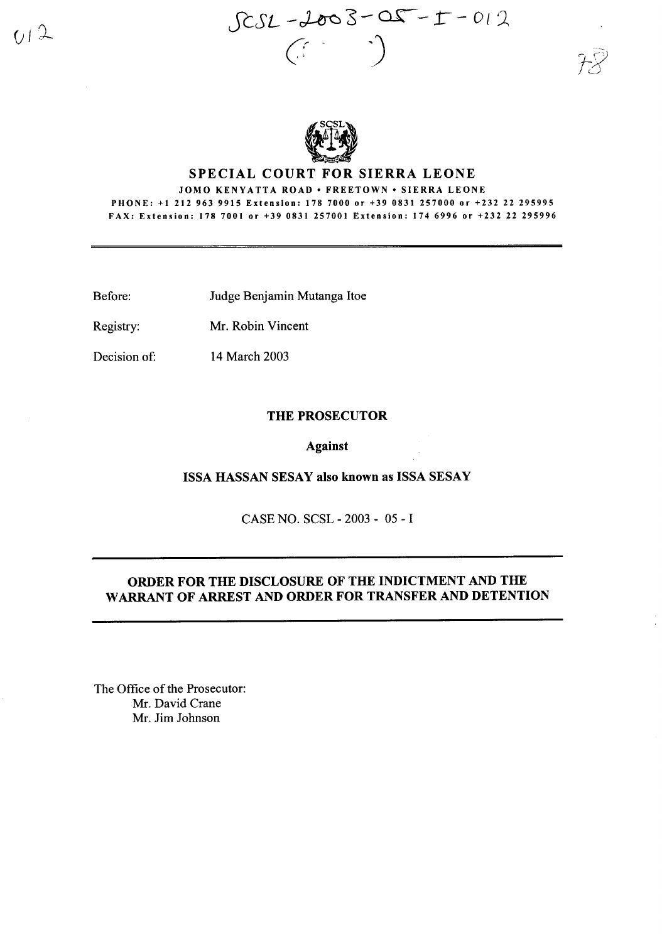



# SPECIAL COURT FOR SIERRA LEONE

JOMO KENYATTA ROAD • FREETOWN • SIERRA LEONE PHONE: +1 2129639915 Extension: 178 7000 or +39 0831 257000 or +232 22 295995 FAX: Extension: 1787001 or +39 0831257001 Extension: 174 6996 or +232 22 295996

Before: Judge Benjamin Mutanga Itoe

Registry: Mr. Robin Vincent

Decision of: 14 March 2003

#### THE PROSECUTOR

### Against

#### ISSA HASSAN SESAY also known as ISSA SESAY

CASE NO. SCSL - 2003 - 05 - I

# ORDER FOR THE DISCLOSURE OF THE INDICTMENT AND THE WARRANT OF ARREST AND ORDER FOR TRANSFER AND DETENTION

The Office of the Prosecutor: Mr. David Crane Mr. Jim Johnson